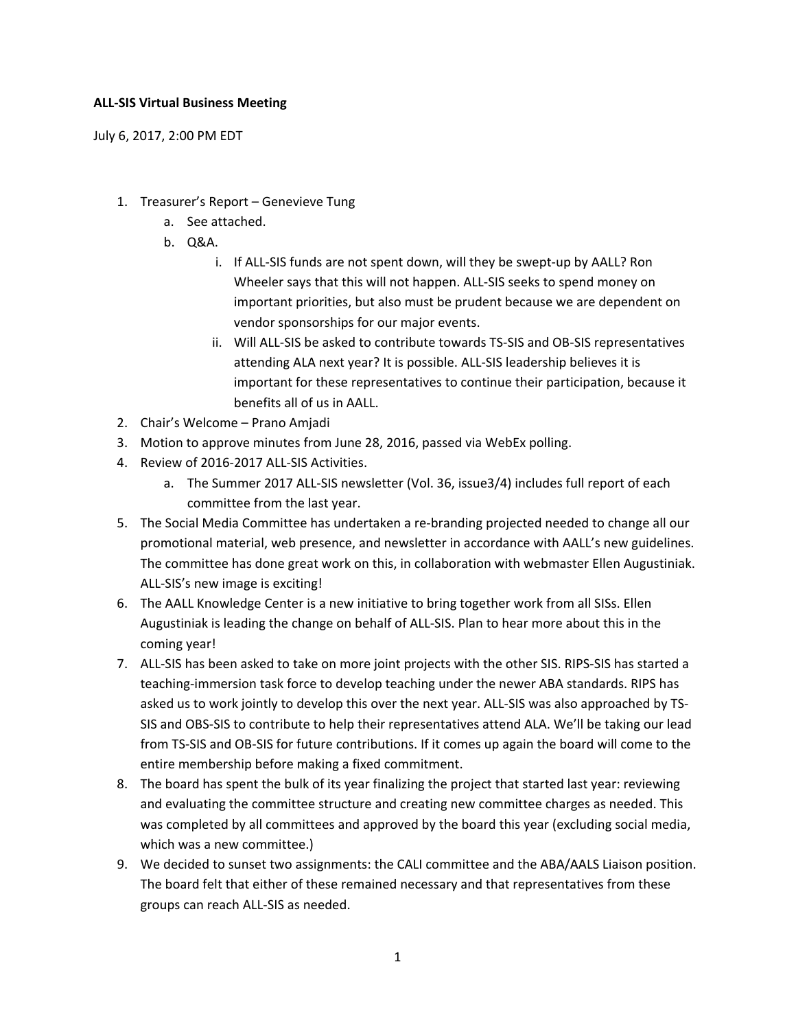## **ALL-SIS Virtual Business Meeting**

July 6, 2017, 2:00 PM EDT

- 1. Treasurer's Report Genevieve Tung
	- a. See attached.
	- b. Q&A.
		- i. If ALL-SIS funds are not spent down, will they be swept-up by AALL? Ron Wheeler says that this will not happen. ALL-SIS seeks to spend money on important priorities, but also must be prudent because we are dependent on vendor sponsorships for our major events.
		- ii. Will ALL-SIS be asked to contribute towards TS-SIS and OB-SIS representatives attending ALA next year? It is possible. ALL-SIS leadership believes it is important for these representatives to continue their participation, because it benefits all of us in AALL.
- 2. Chair's Welcome Prano Amjadi
- 3. Motion to approve minutes from June 28, 2016, passed via WebEx polling.
- 4. Review of 2016-2017 ALL-SIS Activities.
	- a. The Summer 2017 ALL-SIS newsletter (Vol. 36, issue3/4) includes full report of each committee from the last year.
- 5. The Social Media Committee has undertaken a re-branding projected needed to change all our promotional material, web presence, and newsletter in accordance with AALL's new guidelines. The committee has done great work on this, in collaboration with webmaster Ellen Augustiniak. ALL-SIS's new image is exciting!
- 6. The AALL Knowledge Center is a new initiative to bring together work from all SISs. Ellen Augustiniak is leading the change on behalf of ALL-SIS. Plan to hear more about this in the coming year!
- 7. ALL-SIS has been asked to take on more joint projects with the other SIS. RIPS-SIS has started a teaching-immersion task force to develop teaching under the newer ABA standards. RIPS has asked us to work jointly to develop this over the next year. ALL-SIS was also approached by TS-SIS and OBS-SIS to contribute to help their representatives attend ALA. We'll be taking our lead from TS-SIS and OB-SIS for future contributions. If it comes up again the board will come to the entire membership before making a fixed commitment.
- 8. The board has spent the bulk of its year finalizing the project that started last year: reviewing and evaluating the committee structure and creating new committee charges as needed. This was completed by all committees and approved by the board this year (excluding social media, which was a new committee.)
- 9. We decided to sunset two assignments: the CALI committee and the ABA/AALS Liaison position. The board felt that either of these remained necessary and that representatives from these groups can reach ALL-SIS as needed.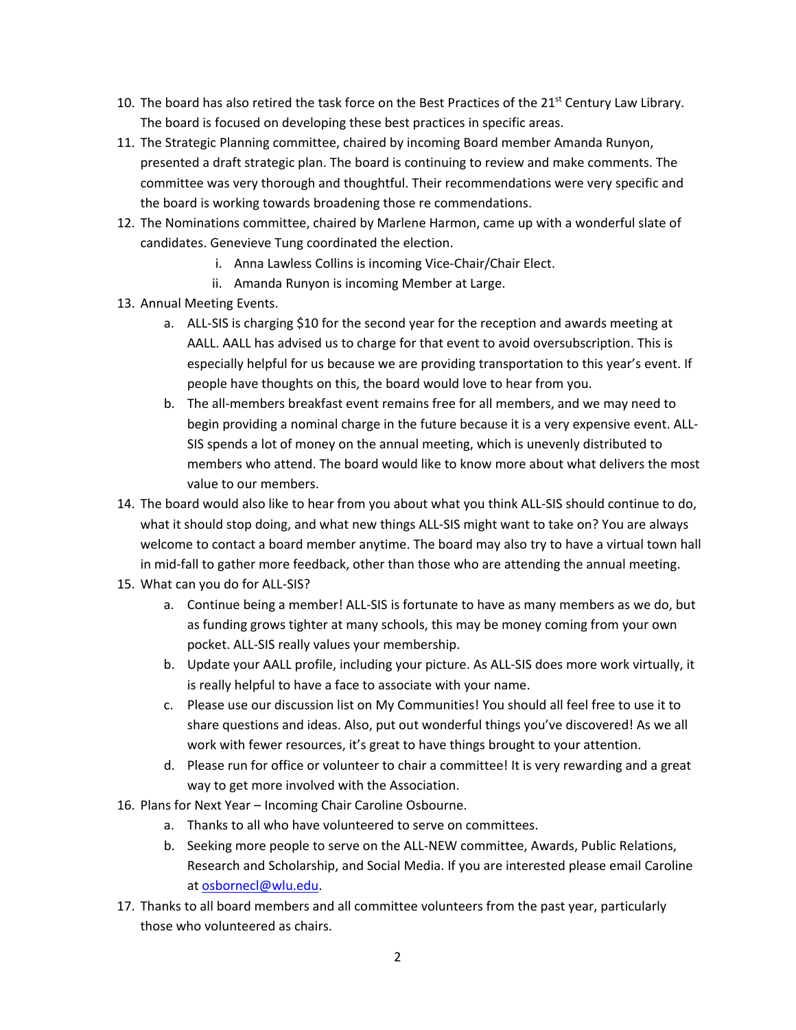- 10. The board has also retired the task force on the Best Practices of the 21st Century Law Library. The board is focused on developing these best practices in specific areas.
- 11. The Strategic Planning committee, chaired by incoming Board member Amanda Runyon, presented a draft strategic plan. The board is continuing to review and make comments. The committee was very thorough and thoughtful. Their recommendations were very specific and the board is working towards broadening those re commendations.
- 12. The Nominations committee, chaired by Marlene Harmon, came up with a wonderful slate of candidates. Genevieve Tung coordinated the election.
	- i. Anna Lawless Collins is incoming Vice-Chair/Chair Elect.
	- ii. Amanda Runyon is incoming Member at Large.
- 13. Annual Meeting Events.
	- a. ALL-SIS is charging \$10 for the second year for the reception and awards meeting at AALL. AALL has advised us to charge for that event to avoid oversubscription. This is especially helpful for us because we are providing transportation to this year's event. If people have thoughts on this, the board would love to hear from you.
	- b. The all-members breakfast event remains free for all members, and we may need to begin providing a nominal charge in the future because it is a very expensive event. ALL-SIS spends a lot of money on the annual meeting, which is unevenly distributed to members who attend. The board would like to know more about what delivers the most value to our members.
- 14. The board would also like to hear from you about what you think ALL-SIS should continue to do, what it should stop doing, and what new things ALL-SIS might want to take on? You are always welcome to contact a board member anytime. The board may also try to have a virtual town hall in mid-fall to gather more feedback, other than those who are attending the annual meeting.
- 15. What can you do for ALL-SIS?
	- a. Continue being a member! ALL-SIS is fortunate to have as many members as we do, but as funding grows tighter at many schools, this may be money coming from your own pocket. ALL-SIS really values your membership.
	- b. Update your AALL profile, including your picture. As ALL-SIS does more work virtually, it is really helpful to have a face to associate with your name.
	- c. Please use our discussion list on My Communities! You should all feel free to use it to share questions and ideas. Also, put out wonderful things you've discovered! As we all work with fewer resources, it's great to have things brought to your attention.
	- d. Please run for office or volunteer to chair a committee! It is very rewarding and a great way to get more involved with the Association.
- 16. Plans for Next Year Incoming Chair Caroline Osbourne.
	- a. Thanks to all who have volunteered to serve on committees.
	- b. Seeking more people to serve on the ALL-NEW committee, Awards, Public Relations, Research and Scholarship, and Social Media. If you are interested please email Caroline a[t osbornecl@wlu.edu.](mailto:osbornecl@wlu.edu)
- 17. Thanks to all board members and all committee volunteers from the past year, particularly those who volunteered as chairs.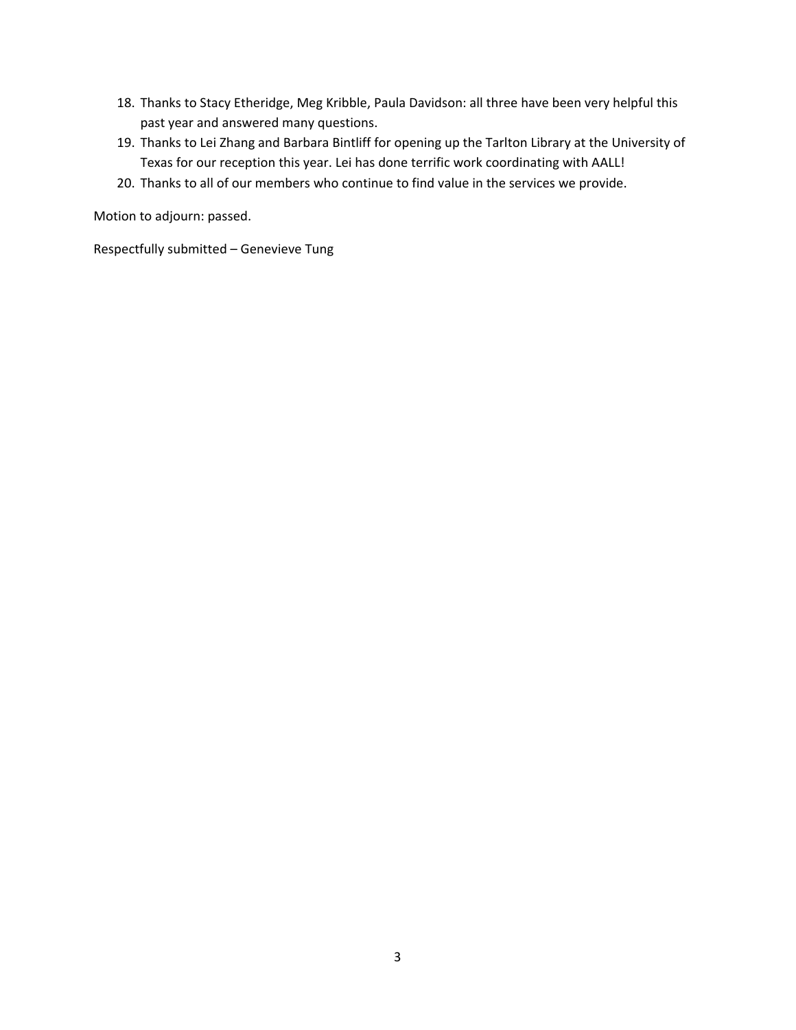- 18. Thanks to Stacy Etheridge, Meg Kribble, Paula Davidson: all three have been very helpful this past year and answered many questions.
- 19. Thanks to Lei Zhang and Barbara Bintliff for opening up the Tarlton Library at the University of Texas for our reception this year. Lei has done terrific work coordinating with AALL!
- 20. Thanks to all of our members who continue to find value in the services we provide.

Motion to adjourn: passed.

Respectfully submitted – Genevieve Tung